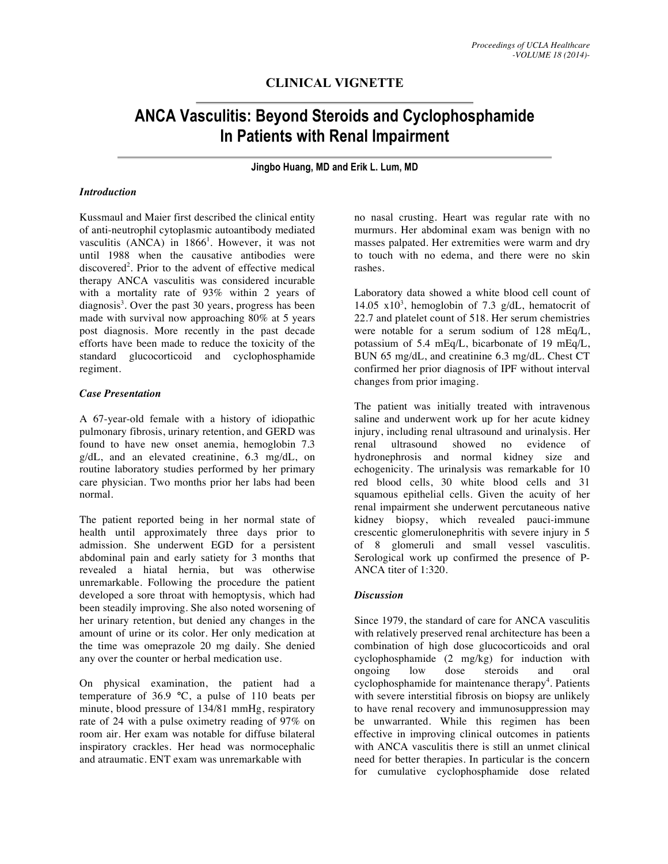## **CLINICAL VIGNETTE**

# **ANCA Vasculitis: Beyond Steroids and Cyclophosphamide In Patients with Renal Impairment**

**Jingbo Huang, MD and Erik L. Lum, MD**

#### *Introduction*

Kussmaul and Maier first described the clinical entity of anti-neutrophil cytoplasmic autoantibody mediated vasculitis (ANCA) in  $1866<sup>1</sup>$ . However, it was not until 1988 when the causative antibodies were discovered<sup>2</sup>. Prior to the advent of effective medical therapy ANCA vasculitis was considered incurable with a mortality rate of 93% within 2 years of diagnosis<sup>3</sup>. Over the past 30 years, progress has been made with survival now approaching 80% at 5 years post diagnosis. More recently in the past decade efforts have been made to reduce the toxicity of the standard glucocorticoid and cyclophosphamide regiment.

#### *Case Presentation*

A 67-year-old female with a history of idiopathic pulmonary fibrosis, urinary retention, and GERD was found to have new onset anemia, hemoglobin 7.3 g/dL, and an elevated creatinine, 6.3 mg/dL, on routine laboratory studies performed by her primary care physician. Two months prior her labs had been normal.

The patient reported being in her normal state of health until approximately three days prior to admission. She underwent EGD for a persistent abdominal pain and early satiety for 3 months that revealed a hiatal hernia, but was otherwise unremarkable. Following the procedure the patient developed a sore throat with hemoptysis, which had been steadily improving. She also noted worsening of her urinary retention, but denied any changes in the amount of urine or its color. Her only medication at the time was omeprazole 20 mg daily. She denied any over the counter or herbal medication use.

On physical examination, the patient had a temperature of 36.9 **°**C, a pulse of 110 beats per minute, blood pressure of 134/81 mmHg, respiratory rate of 24 with a pulse oximetry reading of 97% on room air. Her exam was notable for diffuse bilateral inspiratory crackles. Her head was normocephalic and atraumatic. ENT exam was unremarkable with

no nasal crusting. Heart was regular rate with no murmurs. Her abdominal exam was benign with no masses palpated. Her extremities were warm and dry to touch with no edema, and there were no skin rashes.

Laboratory data showed a white blood cell count of 14.05  $x10^3$ , hemoglobin of 7.3 g/dL, hematocrit of 22.7 and platelet count of 518. Her serum chemistries were notable for a serum sodium of 128 mEq/L, potassium of 5.4 mEq/L, bicarbonate of 19 mEq/L, BUN 65 mg/dL, and creatinine 6.3 mg/dL. Chest CT confirmed her prior diagnosis of IPF without interval changes from prior imaging.

The patient was initially treated with intravenous saline and underwent work up for her acute kidney injury, including renal ultrasound and urinalysis. Her renal ultrasound showed no evidence of hydronephrosis and normal kidney size and echogenicity. The urinalysis was remarkable for 10 red blood cells, 30 white blood cells and 31 squamous epithelial cells. Given the acuity of her renal impairment she underwent percutaneous native kidney biopsy, which revealed pauci-immune crescentic glomerulonephritis with severe injury in 5 of 8 glomeruli and small vessel vasculitis. Serological work up confirmed the presence of P-ANCA titer of 1:320.

#### *Discussion*

Since 1979, the standard of care for ANCA vasculitis with relatively preserved renal architecture has been a combination of high dose glucocorticoids and oral cyclophosphamide (2 mg/kg) for induction with ongoing low dose steroids and oral cyclophosphamide for maintenance therapy<sup>4</sup>. Patients with severe interstitial fibrosis on biopsy are unlikely to have renal recovery and immunosuppression may be unwarranted. While this regimen has been effective in improving clinical outcomes in patients with ANCA vasculitis there is still an unmet clinical need for better therapies. In particular is the concern for cumulative cyclophosphamide dose related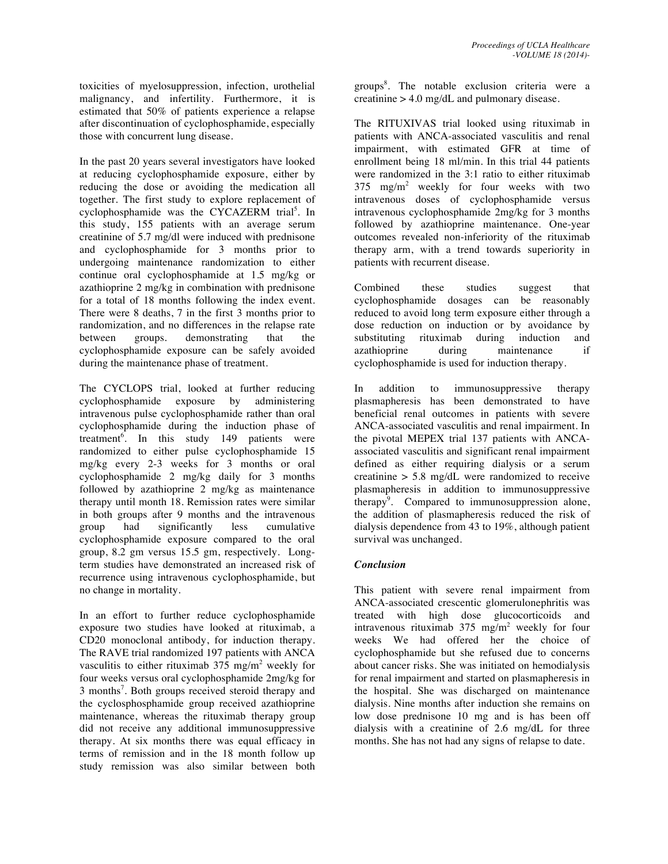toxicities of myelosuppression, infection, urothelial malignancy, and infertility. Furthermore, it is estimated that 50% of patients experience a relapse after discontinuation of cyclophosphamide, especially those with concurrent lung disease.

In the past 20 years several investigators have looked at reducing cyclophosphamide exposure, either by reducing the dose or avoiding the medication all together. The first study to explore replacement of cyclophosphamide was the CYCAZERM trial<sup>5</sup>. In this study, 155 patients with an average serum creatinine of 5.7 mg/dl were induced with prednisone and cyclophosphamide for 3 months prior to undergoing maintenance randomization to either continue oral cyclophosphamide at 1.5 mg/kg or azathioprine 2 mg/kg in combination with prednisone for a total of 18 months following the index event. There were 8 deaths, 7 in the first 3 months prior to randomization, and no differences in the relapse rate between groups. demonstrating that the cyclophosphamide exposure can be safely avoided during the maintenance phase of treatment.

The CYCLOPS trial, looked at further reducing cyclophosphamide exposure by administering intravenous pulse cyclophosphamide rather than oral cyclophosphamide during the induction phase of treatment<sup>6</sup>. In this study 149 patients were randomized to either pulse cyclophosphamide 15 mg/kg every 2-3 weeks for 3 months or oral cyclophosphamide 2 mg/kg daily for 3 months followed by azathioprine 2 mg/kg as maintenance therapy until month 18. Remission rates were similar in both groups after 9 months and the intravenous group had significantly less cumulative cyclophosphamide exposure compared to the oral group, 8.2 gm versus 15.5 gm, respectively. Longterm studies have demonstrated an increased risk of recurrence using intravenous cyclophosphamide, but no change in mortality.

In an effort to further reduce cyclophosphamide exposure two studies have looked at rituximab, a CD20 monoclonal antibody, for induction therapy. The RAVE trial randomized 197 patients with ANCA vasculitis to either rituximab  $375 \text{ mg/m}^2$  weekly for four weeks versus oral cyclophosphamide 2mg/kg for 3 months<sup>7</sup>. Both groups received steroid therapy and the cyclosphosphamide group received azathioprine maintenance, whereas the rituximab therapy group did not receive any additional immunosuppressive therapy. At six months there was equal efficacy in terms of remission and in the 18 month follow up study remission was also similar between both

groups<sup>8</sup>. The notable exclusion criteria were a creatinine > 4.0 mg/dL and pulmonary disease.

The RITUXIVAS trial looked using rituximab in patients with ANCA-associated vasculitis and renal impairment, with estimated GFR at time of enrollment being 18 ml/min. In this trial 44 patients were randomized in the 3:1 ratio to either rituximab  $375 \text{ mg/m}^2$  weekly for four weeks with two intravenous doses of cyclophosphamide versus intravenous cyclophosphamide 2mg/kg for 3 months followed by azathioprine maintenance. One-year outcomes revealed non-inferiority of the rituximab therapy arm, with a trend towards superiority in patients with recurrent disease.

Combined these studies suggest that cyclophosphamide dosages can be reasonably reduced to avoid long term exposure either through a dose reduction on induction or by avoidance by substituting rituximab during induction and substituting rituximab during induction and azathioprine during maintenance if cyclophosphamide is used for induction therapy.

In addition to immunosuppressive therapy plasmapheresis has been demonstrated to have beneficial renal outcomes in patients with severe ANCA-associated vasculitis and renal impairment. In the pivotal MEPEX trial 137 patients with ANCAassociated vasculitis and significant renal impairment defined as either requiring dialysis or a serum creatinine > 5.8 mg/dL were randomized to receive plasmapheresis in addition to immunosuppressive therapy<sup>9</sup>. Compared to immunosuppression alone, the addition of plasmapheresis reduced the risk of dialysis dependence from 43 to 19%, although patient survival was unchanged.

### *Conclusion*

This patient with severe renal impairment from ANCA-associated crescentic glomerulonephritis was treated with high dose glucocorticoids and intravenous rituximab  $375 \text{ mg/m}^2$  weekly for four weeks We had offered her the choice of cyclophosphamide but she refused due to concerns about cancer risks. She was initiated on hemodialysis for renal impairment and started on plasmapheresis in the hospital. She was discharged on maintenance dialysis. Nine months after induction she remains on low dose prednisone 10 mg and is has been off dialysis with a creatinine of 2.6 mg/dL for three months. She has not had any signs of relapse to date.